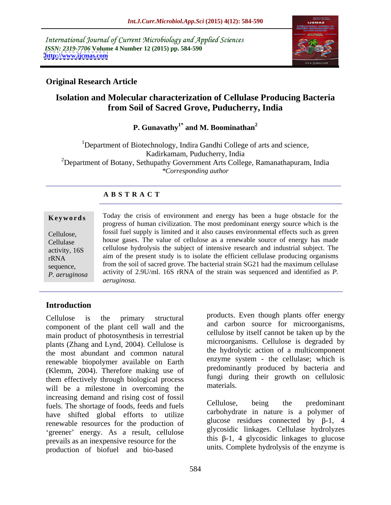International Journal of Current Microbiology and Applied Sciences *ISSN: 2319-7706* **Volume 4 Number 12 (2015) pp. 584-590 <http://www.ijcmas.com>**



### **Original Research Article**

## **Isolation and Molecular characterization of Cellulase Producing Bacteria from Soil of Sacred Grove, Puducherry, India**

### **P. Gunavathy1\* and M. Boominathan<sup>2</sup>**

<sup>1</sup>Department of Biotechnology, Indira Gandhi College of arts and science, Kadirkamam, Puducherry, India <sup>2</sup>Department of Botany, Sethupathy Government Arts College, Ramanathapuram, India *\*Corresponding author*

### **A B S T R A C T**

*P. aeruginosa*

Today the crisis of environment and energy has been a huge obstacle for the progress of human civilization. The most predominant energy source which is the fossil fuel supply is limited and it also causes environmental effects such as green Cellulose, house gases. The value of cellulose as a renewable source of energy has made Cellulase activity, 16S cellulose hydrolysis the subject of intensive research and industrial subject. The  $T_R N_A$  aim of the present study is to isolate the efficient cellulase producing organisms sequence, from the soil of sacred grove. The bacterial strain SG21 had the maximum cellulase activity of 2.9U/ml. 16S rRNA of the strain was sequenced and identified as *P. aeruginosa.* **Ke ywo rds**

## **Introduction**

Cellulose is the primary structural products even mough plants offer energy component of the plant cell wall and the main product of photosynthesis in terrestrial plants (Zhang and Lynd, 2004). Cellulose is the most abundant and common natural renewable biopolymer available on Earth (Klemm, 2004). Therefore making use of them effectively through biological process tungu during the materials. will be a milestone in overcoming the increasing demand and rising cost of fossil<br>the shortage of foods feeds and fuels<br>Cellulose, being the predominant fuels. The shortage of foods, feeds and fuels have shifted global efforts to utilize renewable resources for the production of 'greener' energy. As a result, cellulose prevails as an inexpensive resource for the production of biofuel and bio-based

products. Even though plants offer energy and carbon source for microorganisms, cellulose by itself cannot be taken up by the microorganisms. Cellulose is degraded by the hydrolytic action of a multicomponent enzyme system - the cellulase; which is predominantly produced by bacteria and fungi during their growth on cellulosic materials.

Cellulose, being the predominant carbohydrate in nature is a polymer of glucose residues connected by  $\beta$ -1, 4 glycosidic linkages. Cellulase hydrolyzes this  $\beta$ -1, 4 glycosidic linkages to glucose units. Complete hydrolysis of the enzyme is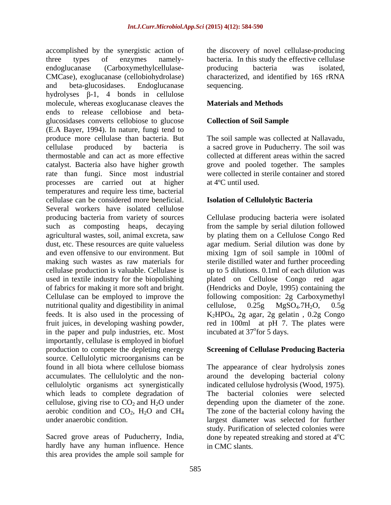accomplished by the synergistic action of the discovery of novel cellulase-producing three types of enzymes namely- bacteria. In this study the effective cellulase endoglucanase (Carboxymethylcellulase- producing bacteria was isolated, CMCase), exoglucanase (cellobiohydrolase) characterized, and identified by 16S rRNA and beta-glucosidases. Endoglucanase hydrolyses  $\beta$ -1, 4 bonds in cellulose molecule, whereas exoglucanase cleaves the **Materials and Methods** ends to release cellobiose and beta glucosidases converts cellobiose to glucose (E.A Bayer, 1994). In nature, fungi tend to produce more cellulase than bacteria. But The soil sample was collected at Nallavadu, cellulase produced by bacteria is a sacred grove in Puducherry. The soil was thermostable and can act as more effective collected at different areas within the sacred catalyst. Bacteria also have higher growth rate than fungi. Since most industrial processes are carried out at higher temperatures and require less time, bacterial cellulase can be considered more beneficial. Several workers have isolated cellulose producing bacteria from variety of sources Cellulase producing bacteria were isolated such as composting heaps, decaying from the sample by serial dilution followed agricultural wastes, soil, animal excreta, saw dust, etc. These resources are quite valueless agar medium. Serial dilution was done by and even offensive to our environment. But mixing 1gm of soil sample in 100ml of making such wastes as raw materials for sterile distilled water and further proceeding cellulase production is valuable. Cellulase is up to 5 dilutions. 0.1ml of each dilution was used in textile industry for the biopolishing plated on Cellulose Congo red agar of fabrics for making it more soft and bright. Cellulase can be employed to improve the following composition: 2g Carboxymethyl nutritional quality and digestibility in animal cellulose, 0.25g MgSO<sub>4</sub>.7H<sub>2</sub>O, 0.5g feeds. It is also used in the processing of K2HPO4, 2g agar, 2g gelatin , 0.2g Congo fruit juices, in developing washing powder, red in 100ml at pH 7. The plates were in the paper and pulp industries, etc. Most incubated at 37<sup>°</sup> for 5 days. importantly, cellulase is employed in biofuel production to compete the depleting energy source. Cellulolytic microorganisms can be found in all biota where cellulose biomass The appearance of clear hydrolysis zones accumulates. The cellulolytic and the non- around the developing bacterial colony cellulolytic organisms act synergistically indicated cellulose hydrolysis (Wood, 1975). which leads to complete degradation of cellulose, giving rise to  $CO_2$  and  $H_2O$  under depending upon the diameter of the zone. aerobic condition and  $CO_2$ ,  $H_2O$  and  $CH_4$  The zone of the bacterial colony having the

hardly have any human influence. Hence this area provides the ample soil sample for producing bacteria was isolated, sequencing.

### **Materials and Methods**

### **Collection of Soil Sample**

grove and pooled together. The samples were collected in sterile container and stored at 4ºC until used.

### **Isolation of Cellulolytic Bacteria**

by plating them on a Cellulose Congo Red (Hendricks and Doyle, 1995) containing the cellulose,  $0.25g$   $MgSO<sub>4</sub>.7H<sub>2</sub>O$ ,  $0.5g$ incubated at  $37^{\circ}$ for 5 days. for 5 days.

### **Screening of Cellulase Producing Bacteria**

under anaerobic condition. largest diameter was selected for further Sacred grove areas of Puducherry, India, done by repeated streaking and stored at 4<sup>o</sup>C The bacterial colonies were selected study. Purification of selected colonies were  $\rm ^{o}C$ in CMC slants.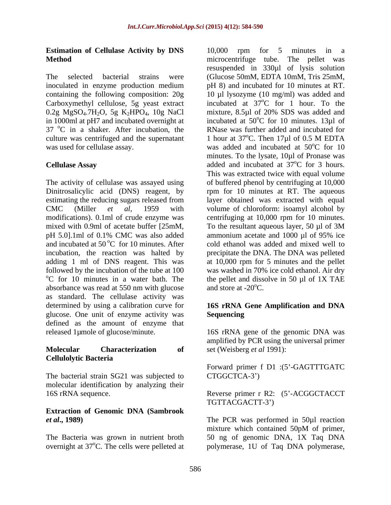### **Estimation of Cellulase Activity by DNS Method Method Method** *Method Method Method Method Method Method Method Method Method Method Method Method Method Method Method Method Method* **<b>***Method*

containing the following composition: 20g Carboxymethyl cellulose, 5g yeast extract  $37 \text{ °C}$  in a shaker. After incubation, the

The activity of cellulase was assayed using of buffered phenol by centrifuging at 10,000 Dinitrosalicylic acid (DNS) reagent, by rpm for 10 minutes at RT. The aqueous estimating the reducing sugars released from layer obtained was extracted with equal CMC (Miller *et al,* 1959 with volume of chloroform: isoamyl alcohol by modifications). 0.1ml of crude enzyme was centrifuging at 10,000 rpm for 10 minutes. mixed with 0.9ml of acetate buffer [25mM, To the resultant aqueous layer, 50 µl of 3M pH 5.0].1ml of 0.1% CMC was also added ammonium acetate and 1000 µl of 95% ice and incubated at  $50^{\circ}$ C for 10 minutes. After incubation, the reaction was halted by precipitate the DNA. The DNA was pelleted adding 1 ml of DNS reagent. This was at 10,000 rpm for 5 minutes and the pellet followed by the incubation of the tube at 100 was washed in 70% ice cold ethanol. Air dry  $\rm ^{o}C$  for 10 minutes in a water bath. The the pellet and dissolve in 50 µl of 1X TAE absorbance was read at 550 nm with glucose as standard. The cellulase activity was determined by using a calibration curve for **16S rRNA Gene Amplification and DNA** glucose. One unit of enzyme activity was defined as the amount of enzyme that released 1µmole of glucose/minute. 16S rRNA gene of the genomic DNA was

# **Cellulolytic Bacteria**

The bacterial strain SG21 was subjected to CTGGCTCA-3') molecular identification by analyzing their

## **Extraction of Genomic DNA (Sambrook**

The selected bacterial strains were (Glucose 50mM, EDTA 10mM, Tris 25mM, inoculated in enzyme production medium pH 8) and incubated for 10 minutes at RT.  $0.2g$  MgSO<sub>4</sub>.7H<sub>2</sub>O, 5g K<sub>2</sub>HPO<sub>4</sub>, 10g NaCl mixture, 8.5µl of 20% SDS was added and in 1000ml at pH7 and incubated overnight at incubated at  $50^{\circ}$ C for 10 minutes. 13 $\mu$ l of culture was centrifuged and the supernatant  $\qquad$  1 hour at 37<sup>o</sup>C. Then 17 $\mu$ l of 0.5 M EDTA was used for cellulase assay.  $\mu$  was added and incubated at 50<sup>o</sup>C for 10 **Cellulase Assay added** and incubated at 37<sup>o</sup>C for 3 hours. 10,000 rpm for 5 minutes in a microcentrifuge tube. The pellet was resuspended in 330µl of lysis solution 10 µl lysozyme (10 mg/ml) was added and incubated at  $37^{\circ}$ C for 1 hour. To the oC for 1 hour. To the  $^{\circ}$ C for 10 minutes. 13 $\mu$ l of RNase was further added and incubated for  $\rm{^{\circ}C.}$  Then 17 $\mu$ l of 0.5 M EDTA  $^{\circ}$ C for 10 minutes. To the lysate, 10µl of Pronase was <sup>o</sup>C for 3 hours. This was extracted twice with equal volume To the resultant aqueous layer, 50 µl of 3M ammonium acetate and 1000 µl of 95% ice cold ethanol was added and mixed well to and store at  $-20^{\circ}$ C.

## **Sequencing**

**Molecular Characterization of** set (Weisberg *et al* 1991): amplified by PCR using the universal primer set (Weisberg *et al* 1991):

> Forward primer f D1 :(5'-GAGTTTGATC CTGGCTCA-3 )

16S rRNA sequence. Reverse primer r R2: (5 -ACGGCTACCT TGTTACGACTT-3 )

*et al***., 1989)** The PCR was performed in 50µl reaction The Bacteria was grown in nutrient broth 50 ng of genomic DNA, 1X Taq DNA overnight at 37<sup>o</sup>C. The cells were pelleted at polymerase, 1U of Taq DNA polymerase, mixture which contained 50pM of primer,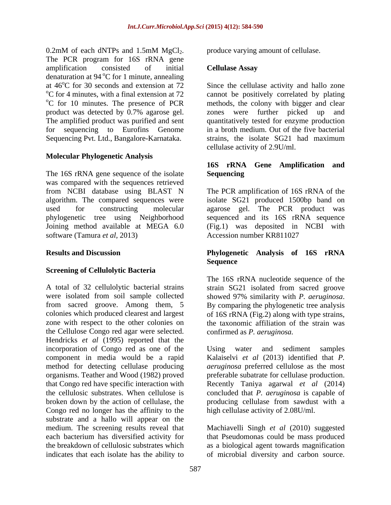0.2mM of each dNTPs and 1.5mM MgCl<sub>2</sub>. produce varying amount of cellulase.<br>The PCR program for 16S rRNA gene amplification consisted of initial **Cellulase Assay** denaturation at  $94^{\circ}$ C for 1 minute, annealing at  $46^{\circ}$ C for 30 seconds and extension at  $72$  Since the cellulase activity and hallo zone  $\rm{^{\circ}C}$  for 4 minutes, with a final extension at 72 product was detected by 0.7% agarose gel. zones were further picked up and for sequencing to Eurofins Genome Sequencing Pvt. Ltd., Bangalore-Karnataka. strains, the isolate SG21 had maximum

### **Molecular Phylogenetic Analysis**

The 16S rRNA gene sequence of the isolate Sequencing was compared with the sequences retrieved software (Tamura *et al*, 2013) Accession number KR811027

### **Screening of Cellulolytic Bacteria**

A total of 32 cellulolytic bacterial strains strain SG21 isolated from sacred groove were isolated from soil sample collected showed 97% similarity with P. aeruginosa. from sacred groove. Among them, 5 By comparing the phylogenetic tree analysis colonies which produced clearest and largest of 16S rRNA (Fig.2) along with type strains. colonies which produced clearest and largest of 16S rRNA (Fig.2) along with type strains, zone with respect to the other colonies on the taxonomic affiliation of the strain was the Cellulose Congo red agar were selected. Hendricks *et al* (1995) reported that the incorporation of Congo red as one of the Using water and sediment samples component in media would be a rapid method for detecting cellulase producing *aeruginosa* preferred cellulose as the most organisms. Teather and Wood (1982) proved that Congo red have specific interaction with Recently Taniya agarwal *et al* (2014) the cellulosic substrates. When cellulose is concluded that *P. aeruginosa* is capable of broken down by the action of cellulase, the producing cellulase from sawdust with a Congo red no longer has the affinity to the substrate and a hallo will appear on the medium. The screening results reveal that Machiavelli Singh *et al* (2010) suggested each bacterium has diversified activity for that Pseudomonas could be mass produced the breakdown of cellulosic substrates which as a biological agent towards magnification indicates that each isolate has the ability to of microbial diversity and carbon source.

produce varying amount of cellulase.

### **Cellulase Assay**

<sup>o</sup>C for 10 minutes. The presence of PCR methods, the colony with bigger and clear The amplified product was purified and sent quantitatively tested for enzyme production cannot be positively correlated by plating were further picked up in a broth medium. Out of the five bacterial strains, the isolate SG21 had maximum cellulase activity of 2.9U/ml.

### **16S rRNA Gene Amplification and Sequencing**

from NCBI database using BLAST N The PCR amplification of 16S rRNA of the algorithm. The compared sequences were isolate SG21 produced 1500bp band on used for constructing molecular agarose gel. The PCR product was phylogenetic tree using Neighborhood sequenced and its 16S rRNA sequence Joining method available at MEGA 6.0 (Fig.1) was deposited in NCBI with Accession number KR811027

### **Results and Discussion Phylogenetic Analysis of 16S rRNA Sequence Sequence**

The 16S rRNA nucleotide sequence of the showed 97% similarity with *P. aeruginosa*. By comparing the phylogenetic tree analysis confirmed as *P. aeruginosa.*

Using water and sediment samples Kalaiselvi *et al* (2013) identified that *P.*  preferable subatrate for cellulase production. high cellulase activity of 2.08U/ml.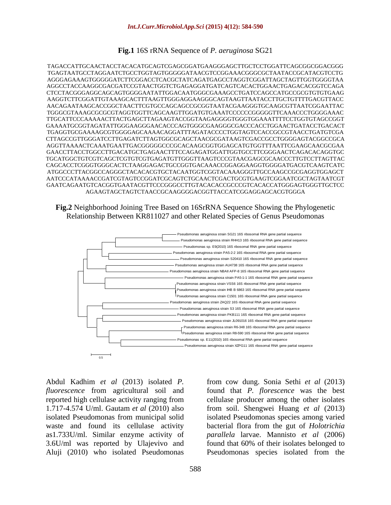**Fig.1** 16S rRNA Sequence of *P. aeruginosa* SG21

TAGACCATTGCAACTACCTACACATGCAGTCGAGCGGATGAAGGGAGCTTGCTCCTGGATTCAGCGGCGGACGGG TGAGTAATGCCTAGGAATCTGCCTGGTAGTGGGGGATAACGTCCGGAAACGGGCGCTAATACCGCATACGTCCTG AGGGAGAAAGTGGGGGATCTTCGGACCTCACGCTATCAGATGAGCCTAGGTCGGATTAGCTAGTTGGTGGGGTAA AGGCCTACCAAGGCGACGATCCGTAACTGGTCTGAGAGGATGATCAGTCACACTGGAACTGAGACACGGTCCAGA CTCCTACGGGAGGCAGCAGTGGGGAATATTGGACAATGGGCGAAAGCCTGATCCAGCCATGCCGCGTGTGTGAAG AAGGTCTTCGGATTGTAAAGCACTTTAAGTTGGGAGGAAGGGCAGTAAGTTAATACCTTGCTGTTTTGACGTTACC AACAGAATAAGCACCGGCTAACTTCGTGCCAGCAGCCGCGGTAATACGAAGGGTGCAAGCGTTAATCGGAATTAC TGGGCGTAAAGCGCGCGTAGGTGGTTCAGCAAGTTGGATGTGAAATCCCCCCGGGGGTTCAAACCCTGGGGAAAC TTGCATTCCCAAAAACTTACTGAGCTTAGAAGTACCGGTAAGAGGGGTGGGTGGAAATTTTCCTGGTGTAGCCGGT GAAAATGCGGTAGATATTGGGAAGGGAACACCCAGTGGGCGAAGGGCGACCCACCTGGAACTGATACCTGACACT TGAGGTGCGAAAAGCGTGGGGAGCAAAACAGGATTTAGATACCCCTGGTAGTCCACCGCCGTAACCTGATGTCGA CTTAGCCGTTGGGATCCTTGAGATCTTAGTGGCGCAGCTAACGCGATAAGTCGACCGCCTGGGGAGTACGGCCGCA AGGTTAAAACTCAAATGAATTGACGGGGGCCCGCACAAGCGGTGGAGCATGTGGTTTAATTCGAAGCAACGCGAA GAACCTTACCTGGCCTTGACATGCTGAGAACTTTCCAGAGATGGATTGGTGCCTTCGGGAACTCAGACACAGGTGC TGCATGGCTGTCGTCAGCTCGTGTCGTGAGATGTTGGGTTAAGTCCCGTAACGAGCGCAACCCTTGTCCTTAGTTAC CAGCACCTCGGGTGGGCACTCTAAGGAGACTGCCGGTGACAAACCGGAGGAAGGTGGGGATGACGTCAAGTCATC ATGGCCCTTACGGCCAGGGCTACACACGTGCTACAATGGTCGGTACAAAGGGTTGCCAAGCCGCGAGGTGGAGCT AATCCCATAAAACCGATCGTAGTCCGGATCGCAGTCTGCAACTCGACTGCGTGAAGTCGGAATCGCTAGTAATCGT GAATCAGAATGTCACGGTGAATACGTTCCCGGGCCTTGTACACACCGCCCGTCACACCATGGGAGTGGGTTGCTCC AGAAGTAGCTAGTCTAACCGCAAGGGGACGGTTACCATCGGAGGAGCACGTGGGA





Abdul Kadhim *et al* (2013) isolated *P.*  from cow dung. Sonia Sethi *et al* (2013) *fluorescence* from agricultural soil and found that *P. florescence* was the best reported high cellulase activity ranging from cellulase producer among the other isolates 1.717-4.574 U/ml. Gautam *et al* (2010) also from soil. Shengwei Huang *et al* (2013) isolated Pseudomonas from municipal solid isolated Pseudomonas species among varied waste and found its cellulase activity bacterial flora from the gut of *Holotrichia*  as1.733U/ml. Similar enzyme activity of *parallela* larvae. Mannisto *et al* (2006) 3.6U/ml was reported by Ulajevivo and found that 60% of their isolates belonged to Aluji (2010) who isolated Pseudomonas Pseudomonas species isolated from the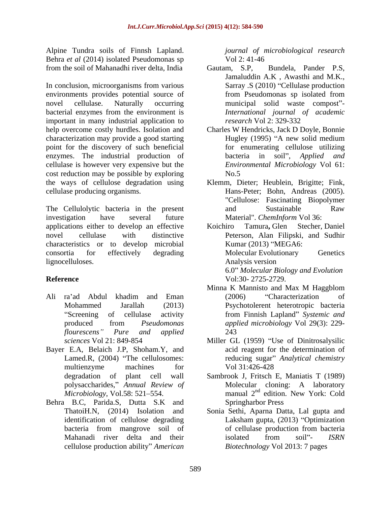Alpine Tundra soils of Finnsh Lapland. Behra *et al* (2014) isolated Pseudomonas sp Vol 2: 41-46 from the soil of Mahanadhi river delta, India

In conclusion, microorganisms from various environments provides potential source of from Pseudomonas sp isolated from novel cellulase. Naturally occurring municipal solid waste compost"bacterial enzymes from the environment is important in many industrial application to *research* Vol 2: 329-332 help overcome costly hurdles. Isolation and characterization may provide a good starting Hugley (1995) "A new solid medium point for the discovery of such beneficial enzymes. The industrial production of bacteria in soil", Applied and cellulase is however very expensive but the cost reduction may be possible by exploring the ways of cellulose degradation using Klemm, Dieter; Heublein, Brigitte; Fink,

The Cellulolytic bacteria in the present and Sustainable Raw investigation have several future Material". *ChemInform* Vol 36: applications either to develop an effective novel cellulase with distinctive Peterson, Alan Filipski, and Sudhir characteristics or to develop microbial consortia for effectively degrading lignocelluloses. Analysis version

- Ali ra ad Abdul khadim and Eman
- Bayer E.A, Belaich J.P, Shoham.Y, and multienzyme machines for Vol 31:426-428
- Behra B.C, Parida.S, Dutta S.K and cellulose production ability" American

*journal of microbiological research* Vol 2: 41-46

- Bundela, Pander P.S. Jamaluddin A.K , Awasthi and M.K., Sarray .S (2010) "Cellulase production from Pseudomonas sp isolated from *International journal of academic research* Vol 2: 329-332
- Charles W Hendricks, Jack D Doyle, Bonnie for enumerating cellulose utilizing bacteria in soil", *Applied Environmental Microbiology* Vol 61: No.5
- cellulase producing organisms. Hans-Peter; Bohn, Andreas (2005). "Cellulose: Fascinating Biopolymer and Sustainable Raw Material". *ChemInform* Vol 36:

**Reference** Vol:30- 2725-2729. Koichiro Tamura**,** Glen Stecher, Daniel Kumar  $(2013)$  "MEGA6: Molecular Evolutionary Genetics Analysis version 6.0 *Molecular Biology and Evolution* Vol:30- 2725-2729.

- Mohammed Jarallah (2013) Psychotolerent heterotropic bacteria Screening of cellulase activity from Finnish Lapland" Systemic and produced from *Pseudomonas flourescens Pure and applied* Minna K Mannisto and Max M Haggblom (2006) Characterization of *applied microbiology* Vol 29(3): 229- 243
- *sciences* Vol 21: 849-854 Miller GL (1959) "Use of Dinitrosalysilic Lamed.R, (2004) "The cellulosomes: reducing sugar" *Analytical chemistry* acid reagent for the determination of Vol 31:426-428
- degradation of plant cell wall Sambrook J, Fritsch E, Maniatis T (1989) polysaccharides, *Annual Review of* Molecular cloning: A laboratory  $Microbiology$ , Vol.58: 521–554. manual  $2<sup>nd</sup>$  edition. New York: Cold edition. New York: Cold Springharbor Press
- ThatoiH.N, (2014) Isolation and Sonia Sethi, Aparna Datta, Lal gupta and identification of cellulose degrading Laksham gupta, (2013) "Optimization bacteria from mangrove soil of Mahanadi river delta and their isolated from soil"- ISRN of cellulase production from bacteria isolated from soil"- *ISRN Biotechnology* Vol 2013: 7 pages